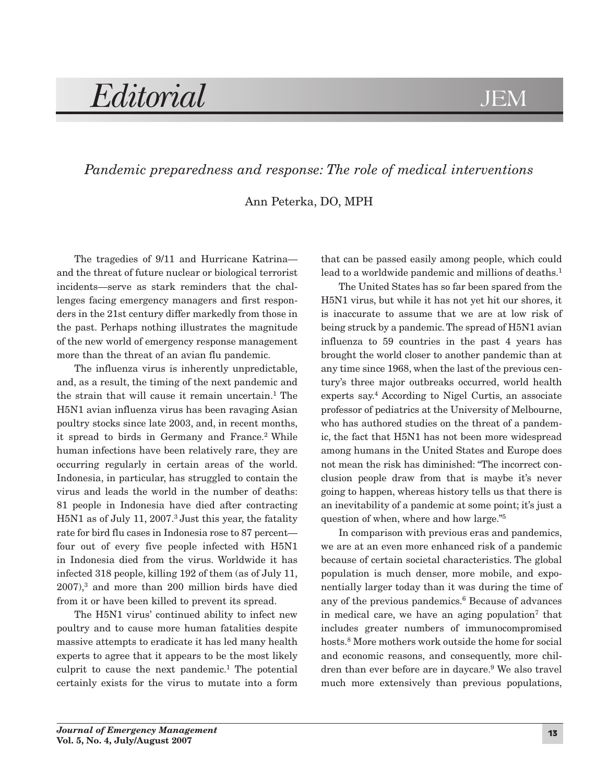# *Editorial* JEM

## *Pandemic preparedness and response: The role of medical interventions*

Ann Peterka, DO, MPH

The tragedies of 9/11 and Hurricane Katrina and the threat of future nuclear or biological terrorist incidents—serve as stark reminders that the challenges facing emergency managers and first responders in the 21st century differ markedly from those in the past. Perhaps nothing illustrates the magnitude of the new world of emergency response management more than the threat of an avian flu pandemic.

The influenza virus is inherently unpredictable, and, as a result, the timing of the next pandemic and the strain that will cause it remain uncertain.<sup>1</sup> The H5N1 avian influenza virus has been ravaging Asian poultry stocks since late 2003, and, in recent months, it spread to birds in Germany and France.<sup>2</sup> While human infections have been relatively rare, they are occurring regularly in certain areas of the world. Indonesia, in particular, has struggled to contain the virus and leads the world in the number of deaths: 81 people in Indonesia have died after contracting H5N1 as of July 11, 2007.3 Just this year, the fatality rate for bird flu cases in Indonesia rose to 87 percent four out of every five people infected with H5N1 in Indonesia died from the virus. Worldwide it has infected 318 people, killing 192 of them (as of July 11, 2007),3 and more than 200 million birds have died from it or have been killed to prevent its spread.

The H5N1 virus' continued ability to infect new poultry and to cause more human fatalities despite massive attempts to eradicate it has led many health experts to agree that it appears to be the most likely culprit to cause the next pandemic.1 The potential certainly exists for the virus to mutate into a form that can be passed easily among people, which could lead to a worldwide pandemic and millions of deaths.<sup>1</sup>

The United States has so far been spared from the H5N1 virus, but while it has not yet hit our shores, it is inaccurate to assume that we are at low risk of being struck by a pandemic. The spread of H5N1 avian influenza to 59 countries in the past 4 years has brought the world closer to another pandemic than at any time since 1968, when the last of the previous century's three major outbreaks occurred, world health experts say.4 According to Nigel Curtis, an associate professor of pediatrics at the University of Melbourne, who has authored studies on the threat of a pandemic, the fact that H5N1 has not been more widespread among humans in the United States and Europe does not mean the risk has diminished: "The incorrect conclusion people draw from that is maybe it's never going to happen, whereas history tells us that there is an inevitability of a pandemic at some point; it's just a question of when, where and how large."5

In comparison with previous eras and pandemics, we are at an even more enhanced risk of a pandemic because of certain societal characteristics. The global population is much denser, more mobile, and exponentially larger today than it was during the time of any of the previous pandemics. $6$  Because of advances in medical care, we have an aging population<sup>7</sup> that includes greater numbers of immunocompromised hosts.8 More mothers work outside the home for social and economic reasons, and consequently, more children than ever before are in daycare.9 We also travel much more extensively than previous populations,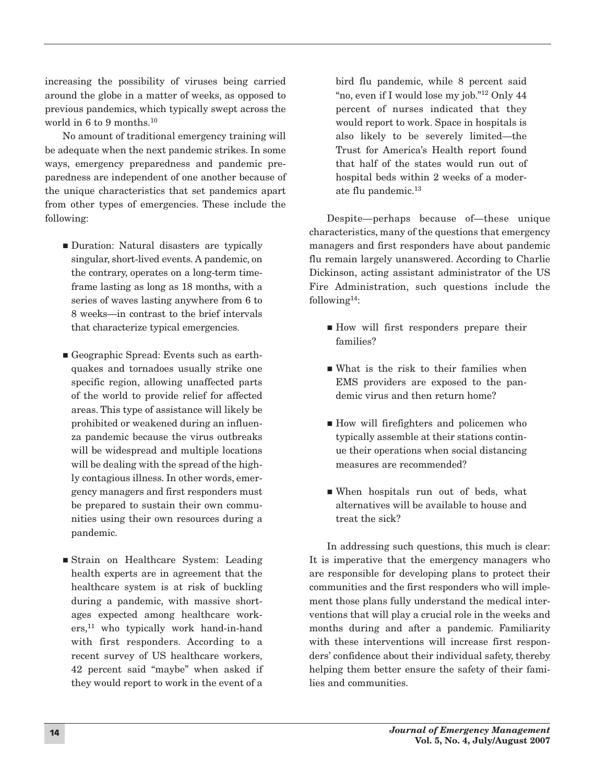increasing the possibility of viruses being carried around the globe in a matter of weeks, as opposed to previous pandemics, which typically swept across the world in 6 to 9 months.10

No amount of traditional emergency training will be adequate when the next pandemic strikes. In some ways, emergency preparedness and pandemic preparedness are independent of one another because of the unique characteristics that set pandemics apart from other types of emergencies. These include the following:

- Duration: Natural disasters are typically singular, short-lived events. A pandemic, on the contrary, operates on a long-term timeframe lasting as long as 18 months, with a series of waves lasting anywhere from 6 to 8 weeks—in contrast to the brief intervals that characterize typical emergencies.
- Geographic Spread: Events such as earthquakes and tornadoes usually strike one specific region, allowing unaffected parts of the world to provide relief for affected areas. This type of assistance will likely be prohibited or weakened during an influenza pandemic because the virus outbreaks will be widespread and multiple locations will be dealing with the spread of the highly contagious illness. In other words, emergency managers and first responders must be prepared to sustain their own communities using their own resources during a pandemic.
- Strain on Healthcare System: Leading health experts are in agreement that the healthcare system is at risk of buckling during a pandemic, with massive shortages expected among healthcare workers,<sup>11</sup> who typically work hand-in-hand with first responders. According to a recent survey of US healthcare workers, 42 percent said "maybe" when asked if they would report to work in the event of a

bird flu pandemic, while 8 percent said "no, even if I would lose my job."12 Only 44 percent of nurses indicated that they would report to work. Space in hospitals is also likely to be severely limited—the Trust for America's Health report found that half of the states would run out of hospital beds within 2 weeks of a moderate flu pandemic.13

Despite—perhaps because of—these unique characteristics, many of the questions that emergency managers and first responders have about pandemic flu remain largely unanswered. According to Charlie Dickinson, acting assistant administrator of the US Fire Administration, such questions include the following $14$ :

- How will first responders prepare their families?
- What is the risk to their families when EMS providers are exposed to the pandemic virus and then return home?
- How will firefighters and policemen who typically assemble at their stations continue their operations when social distancing measures are recommended?
- When hospitals run out of beds, what alternatives will be available to house and treat the sick?

In addressing such questions, this much is clear: It is imperative that the emergency managers who are responsible for developing plans to protect their communities and the first responders who will implement those plans fully understand the medical interventions that will play a crucial role in the weeks and months during and after a pandemic. Familiarity with these interventions will increase first responders' confidence about their individual safety, thereby helping them better ensure the safety of their families and communities.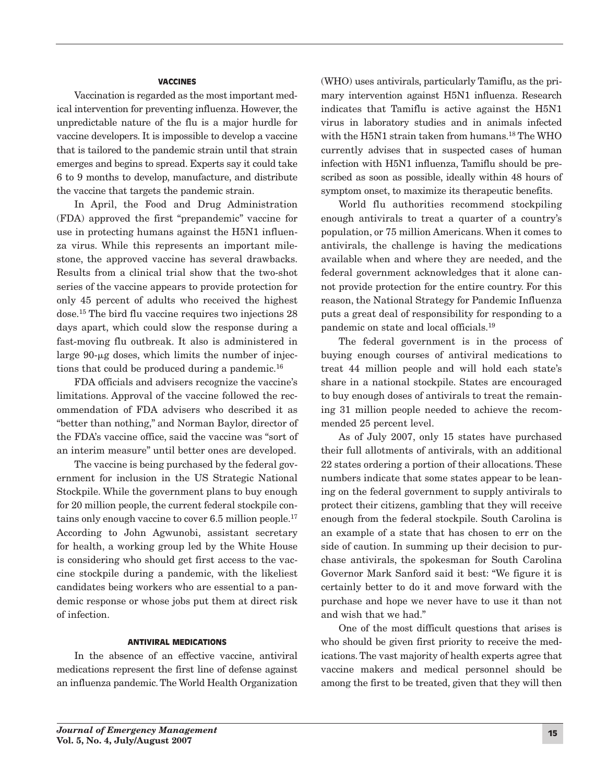### VACCINES

Vaccination is regarded as the most important medical intervention for preventing influenza. However, the unpredictable nature of the flu is a major hurdle for vaccine developers. It is impossible to develop a vaccine that is tailored to the pandemic strain until that strain emerges and begins to spread. Experts say it could take 6 to 9 months to develop, manufacture, and distribute the vaccine that targets the pandemic strain.

In April, the Food and Drug Administration (FDA) approved the first "prepandemic" vaccine for use in protecting humans against the H5N1 influenza virus. While this represents an important milestone, the approved vaccine has several drawbacks. Results from a clinical trial show that the two-shot series of the vaccine appears to provide protection for only 45 percent of adults who received the highest dose.15 The bird flu vaccine requires two injections 28 days apart, which could slow the response during a fast-moving flu outbreak. It also is administered in large  $90$ -µg doses, which limits the number of injections that could be produced during a pandemic.<sup>16</sup>

FDA officials and advisers recognize the vaccine's limitations. Approval of the vaccine followed the recommendation of FDA advisers who described it as "better than nothing," and Norman Baylor, director of the FDA's vaccine office, said the vaccine was "sort of an interim measure" until better ones are developed.

The vaccine is being purchased by the federal government for inclusion in the US Strategic National Stockpile. While the government plans to buy enough for 20 million people, the current federal stockpile contains only enough vaccine to cover 6.5 million people.17 According to John Agwunobi, assistant secretary for health, a working group led by the White House is considering who should get first access to the vaccine stockpile during a pandemic, with the likeliest candidates being workers who are essential to a pandemic response or whose jobs put them at direct risk of infection.

#### ANTIVIRAL MEDICATIONS

In the absence of an effective vaccine, antiviral medications represent the first line of defense against an influenza pandemic. The World Health Organization (WHO) uses antivirals, particularly Tamiflu, as the primary intervention against H5N1 influenza. Research indicates that Tamiflu is active against the H5N1 virus in laboratory studies and in animals infected with the H5N1 strain taken from humans.18 The WHO currently advises that in suspected cases of human infection with H5N1 influenza, Tamiflu should be prescribed as soon as possible, ideally within 48 hours of symptom onset, to maximize its therapeutic benefits.

World flu authorities recommend stockpiling enough antivirals to treat a quarter of a country's population, or 75 million Americans. When it comes to antivirals, the challenge is having the medications available when and where they are needed, and the federal government acknowledges that it alone cannot provide protection for the entire country. For this reason, the National Strategy for Pandemic Influenza puts a great deal of responsibility for responding to a pandemic on state and local officials.19

The federal government is in the process of buying enough courses of antiviral medications to treat 44 million people and will hold each state's share in a national stockpile. States are encouraged to buy enough doses of antivirals to treat the remaining 31 million people needed to achieve the recommended 25 percent level.

As of July 2007, only 15 states have purchased their full allotments of antivirals, with an additional 22 states ordering a portion of their allocations. These numbers indicate that some states appear to be leaning on the federal government to supply antivirals to protect their citizens, gambling that they will receive enough from the federal stockpile. South Carolina is an example of a state that has chosen to err on the side of caution. In summing up their decision to purchase antivirals, the spokesman for South Carolina Governor Mark Sanford said it best: "We figure it is certainly better to do it and move forward with the purchase and hope we never have to use it than not and wish that we had."

One of the most difficult questions that arises is who should be given first priority to receive the medications. The vast majority of health experts agree that vaccine makers and medical personnel should be among the first to be treated, given that they will then